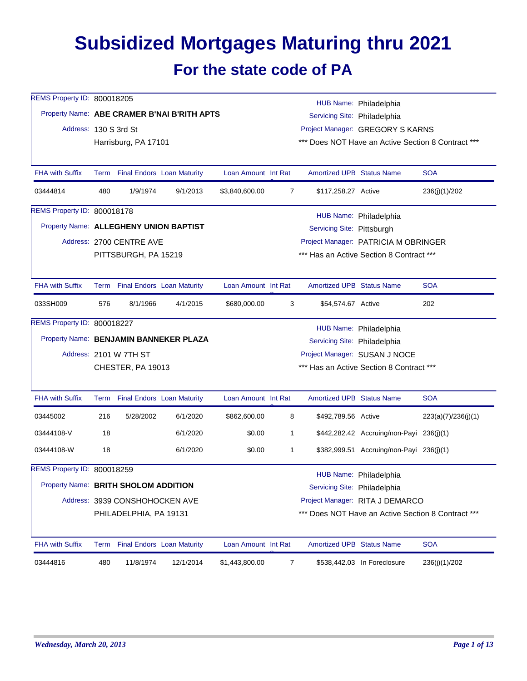## **Subsidized Mortgages Maturing thru 2021 For the state code of PA**

| REMS Property ID: 800018205            |      |                                   |                                             |                     |                |                                  | HUB Name: Philadelphia                             |                     |  |  |
|----------------------------------------|------|-----------------------------------|---------------------------------------------|---------------------|----------------|----------------------------------|----------------------------------------------------|---------------------|--|--|
|                                        |      |                                   | Property Name: ABE CRAMER B'NAI B'RITH APTS |                     |                | Servicing Site: Philadelphia     |                                                    |                     |  |  |
| Address: 130 S 3rd St                  |      |                                   |                                             |                     |                |                                  | Project Manager: GREGORY S KARNS                   |                     |  |  |
|                                        |      | Harrisburg, PA 17101              |                                             |                     |                |                                  | *** Does NOT Have an Active Section 8 Contract *** |                     |  |  |
| <b>FHA with Suffix</b>                 |      | Term Final Endors Loan Maturity   |                                             | Loan Amount Int Rat |                | <b>Amortized UPB Status Name</b> |                                                    | <b>SOA</b>          |  |  |
| 03444814                               | 480  | 1/9/1974                          | 9/1/2013                                    | \$3,840,600.00      | 7              | \$117,258.27 Active              |                                                    | 236(j)(1)/202       |  |  |
| REMS Property ID: 800018178            |      |                                   |                                             |                     |                |                                  | HUB Name: Philadelphia                             |                     |  |  |
| Property Name: ALLEGHENY UNION BAPTIST |      |                                   |                                             |                     |                | Servicing Site: Pittsburgh       |                                                    |                     |  |  |
|                                        |      | Address: 2700 CENTRE AVE          |                                             |                     |                |                                  | Project Manager: PATRICIA M OBRINGER               |                     |  |  |
|                                        |      | PITTSBURGH, PA 15219              |                                             |                     |                |                                  | *** Has an Active Section 8 Contract ***           |                     |  |  |
| <b>FHA with Suffix</b>                 |      | Term Final Endors Loan Maturity   |                                             | Loan Amount Int Rat |                | <b>Amortized UPB Status Name</b> |                                                    | <b>SOA</b>          |  |  |
| 033SH009                               | 576  | 8/1/1966                          | 4/1/2015                                    | \$680,000.00        | 3              | \$54,574.67 Active               |                                                    | 202                 |  |  |
| REMS Property ID: 800018227            |      |                                   |                                             |                     |                |                                  | HUB Name: Philadelphia                             |                     |  |  |
| Property Name: BENJAMIN BANNEKER PLAZA |      |                                   |                                             |                     |                | Servicing Site: Philadelphia     |                                                    |                     |  |  |
|                                        |      | Address: 2101 W 7TH ST            |                                             |                     |                |                                  | Project Manager: SUSAN J NOCE                      |                     |  |  |
|                                        |      | CHESTER, PA 19013                 |                                             |                     |                |                                  | *** Has an Active Section 8 Contract ***           |                     |  |  |
| <b>FHA with Suffix</b>                 | Term | <b>Final Endors Loan Maturity</b> |                                             | Loan Amount Int Rat |                | <b>Amortized UPB Status Name</b> |                                                    | <b>SOA</b>          |  |  |
| 03445002                               | 216  | 5/28/2002                         | 6/1/2020                                    | \$862,600.00        | 8              | \$492,789.56 Active              |                                                    | 223(a)(7)/236(j)(1) |  |  |
| 03444108-V                             | 18   |                                   | 6/1/2020                                    | \$0.00              | 1              |                                  | \$442,282.42 Accruing/non-Payi 236(j)(1)           |                     |  |  |
| 03444108-W                             | 18   |                                   | 6/1/2020                                    | \$0.00              | 1              |                                  | \$382,999.51 Accruing/non-Payi 236(j)(1)           |                     |  |  |
| REMS Property ID: 800018259            |      |                                   |                                             |                     |                |                                  | HUB Name: Philadelphia                             |                     |  |  |
| Property Name: BRITH SHOLOM ADDITION   |      |                                   |                                             |                     |                | Servicing Site: Philadelphia     |                                                    |                     |  |  |
|                                        |      | Address: 3939 CONSHOHOCKEN AVE    |                                             |                     |                |                                  | Project Manager: RITA J DEMARCO                    |                     |  |  |
|                                        |      | PHILADELPHIA, PA 19131            |                                             |                     |                |                                  | *** Does NOT Have an Active Section 8 Contract *** |                     |  |  |
| <b>FHA with Suffix</b>                 |      | Term Final Endors Loan Maturity   |                                             | Loan Amount Int Rat |                | Amortized UPB Status Name        |                                                    | <b>SOA</b>          |  |  |
| 03444816                               | 480  | 11/8/1974                         | 12/1/2014                                   | \$1,443,800.00      | $\overline{7}$ |                                  | \$538,442.03 In Foreclosure                        | 236(j)(1)/202       |  |  |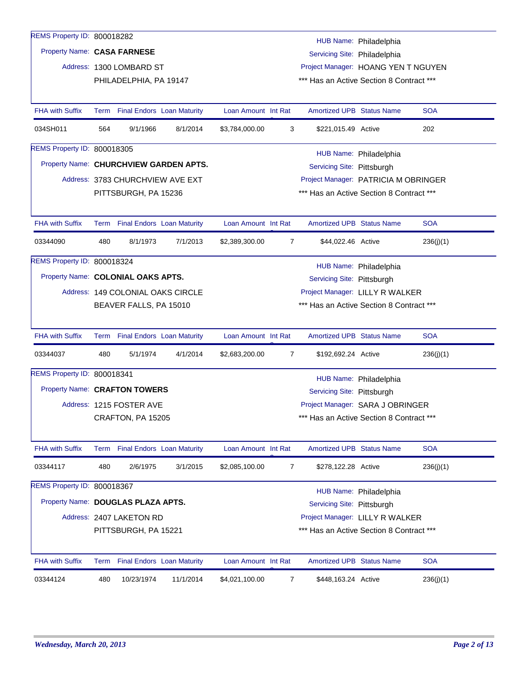| REMS Property ID: 800018282            |      |                                   |           |                     |                |                                          |                        |            |
|----------------------------------------|------|-----------------------------------|-----------|---------------------|----------------|------------------------------------------|------------------------|------------|
| Property Name: CASA FARNESE            |      |                                   |           |                     |                |                                          | HUB Name: Philadelphia |            |
|                                        |      |                                   |           |                     |                | Servicing Site: Philadelphia             |                        |            |
|                                        |      | Address: 1300 LOMBARD ST          |           |                     |                | Project Manager: HOANG YEN T NGUYEN      |                        |            |
|                                        |      | PHILADELPHIA, PA 19147            |           |                     |                | *** Has an Active Section 8 Contract *** |                        |            |
| <b>FHA with Suffix</b>                 |      | Term Final Endors Loan Maturity   |           | Loan Amount Int Rat |                | <b>Amortized UPB Status Name</b>         |                        | <b>SOA</b> |
| 034SH011                               | 564  | 9/1/1966                          | 8/1/2014  | \$3,784,000.00      | 3              | \$221,015.49 Active                      |                        | 202        |
| REMS Property ID: 800018305            |      |                                   |           |                     |                |                                          | HUB Name: Philadelphia |            |
| Property Name: CHURCHVIEW GARDEN APTS. |      |                                   |           |                     |                | Servicing Site: Pittsburgh               |                        |            |
|                                        |      | Address: 3783 CHURCHVIEW AVE EXT  |           |                     |                | Project Manager: PATRICIA M OBRINGER     |                        |            |
|                                        |      | PITTSBURGH, PA 15236              |           |                     |                | *** Has an Active Section 8 Contract *** |                        |            |
|                                        |      |                                   |           |                     |                |                                          |                        |            |
| <b>FHA with Suffix</b>                 |      | Term Final Endors Loan Maturity   |           | Loan Amount Int Rat |                | <b>Amortized UPB Status Name</b>         |                        | <b>SOA</b> |
| 03344090                               | 480  | 8/1/1973                          | 7/1/2013  | \$2,389,300.00      | 7              | \$44,022.46 Active                       |                        | 236(j)(1)  |
| REMS Property ID: 800018324            |      |                                   |           |                     |                |                                          | HUB Name: Philadelphia |            |
| Property Name: COLONIAL OAKS APTS.     |      |                                   |           |                     |                | Servicing Site: Pittsburgh               |                        |            |
|                                        |      | Address: 149 COLONIAL OAKS CIRCLE |           |                     |                | Project Manager: LILLY R WALKER          |                        |            |
|                                        |      | BEAVER FALLS, PA 15010            |           |                     |                | *** Has an Active Section 8 Contract *** |                        |            |
|                                        |      |                                   |           |                     |                |                                          |                        |            |
| <b>FHA with Suffix</b>                 |      | Term Final Endors Loan Maturity   |           | Loan Amount Int Rat |                | <b>Amortized UPB Status Name</b>         |                        | <b>SOA</b> |
| 03344037                               | 480  | 5/1/1974                          | 4/1/2014  | \$2,683,200.00      | $\overline{7}$ | \$192,692.24 Active                      |                        | 236(j)(1)  |
| REMS Property ID: 800018341            |      |                                   |           |                     |                |                                          | HUB Name: Philadelphia |            |
| Property Name: CRAFTON TOWERS          |      |                                   |           |                     |                | Servicing Site: Pittsburgh               |                        |            |
|                                        |      | Address: 1215 FOSTER AVE          |           |                     |                | Project Manager: SARA J OBRINGER         |                        |            |
|                                        |      | CRAFTON, PA 15205                 |           |                     |                | *** Has an Active Section 8 Contract *** |                        |            |
|                                        |      |                                   |           |                     |                |                                          |                        |            |
| <b>FHA with Suffix</b>                 |      | Term Final Endors Loan Maturity   |           | Loan Amount Int Rat |                | <b>Amortized UPB Status Name</b>         |                        | <b>SOA</b> |
| 03344117                               | 480  | 2/6/1975                          | 3/1/2015  | \$2,085,100.00      | $\overline{7}$ | \$278,122.28 Active                      |                        | 236(j)(1)  |
| REMS Property ID: 800018367            |      |                                   |           |                     |                |                                          | HUB Name: Philadelphia |            |
| Property Name: DOUGLAS PLAZA APTS.     |      |                                   |           |                     |                | Servicing Site: Pittsburgh               |                        |            |
|                                        |      | Address: 2407 LAKETON RD          |           |                     |                | Project Manager: LILLY R WALKER          |                        |            |
|                                        |      | PITTSBURGH, PA 15221              |           |                     |                | *** Has an Active Section 8 Contract *** |                        |            |
|                                        |      |                                   |           |                     |                |                                          |                        |            |
| FHA with Suffix                        | Term | <b>Final Endors Loan Maturity</b> |           | Loan Amount Int Rat |                | Amortized UPB Status Name                |                        | <b>SOA</b> |
| 03344124                               | 480  | 10/23/1974                        | 11/1/2014 | \$4,021,100.00      | $\overline{7}$ | \$448,163.24 Active                      |                        | 236(j)(1)  |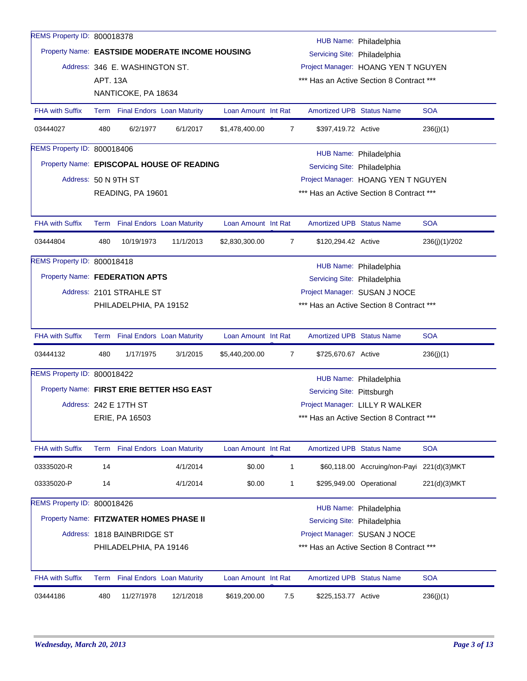| REMS Property ID: 800018378             |                 |                                 |                                                 |                     |                |                                  | HUB Name: Philadelphia                     |               |
|-----------------------------------------|-----------------|---------------------------------|-------------------------------------------------|---------------------|----------------|----------------------------------|--------------------------------------------|---------------|
|                                         |                 |                                 | Property Name: EASTSIDE MODERATE INCOME HOUSING |                     |                | Servicing Site: Philadelphia     |                                            |               |
|                                         |                 | Address: 346 E. WASHINGTON ST.  |                                                 |                     |                |                                  | Project Manager: HOANG YEN T NGUYEN        |               |
|                                         | <b>APT. 13A</b> |                                 |                                                 |                     |                |                                  | *** Has an Active Section 8 Contract ***   |               |
|                                         |                 | NANTICOKE, PA 18634             |                                                 |                     |                |                                  |                                            |               |
| <b>FHA with Suffix</b>                  |                 | Term Final Endors Loan Maturity |                                                 | Loan Amount Int Rat |                | <b>Amortized UPB Status Name</b> |                                            | <b>SOA</b>    |
| 03444027                                | 480             | 6/2/1977                        | 6/1/2017                                        | \$1,478,400.00      | 7              | \$397,419.72 Active              |                                            | 236(j)(1)     |
| REMS Property ID: 800018406             |                 |                                 |                                                 |                     |                |                                  | HUB Name: Philadelphia                     |               |
|                                         |                 |                                 | Property Name: EPISCOPAL HOUSE OF READING       |                     |                | Servicing Site: Philadelphia     |                                            |               |
| Address: 50 N 9TH ST                    |                 |                                 |                                                 |                     |                |                                  | Project Manager: HOANG YEN T NGUYEN        |               |
|                                         |                 | READING, PA 19601               |                                                 |                     |                |                                  | *** Has an Active Section 8 Contract ***   |               |
| <b>FHA with Suffix</b>                  |                 | Term Final Endors Loan Maturity |                                                 | Loan Amount Int Rat |                | <b>Amortized UPB Status Name</b> |                                            | <b>SOA</b>    |
| 03444804                                | 480             | 10/19/1973                      | 11/1/2013                                       | \$2,830,300.00      | $\overline{7}$ | \$120,294.42 Active              |                                            | 236(j)(1)/202 |
| REMS Property ID: 800018418             |                 |                                 |                                                 |                     |                |                                  | HUB Name: Philadelphia                     |               |
| Property Name: FEDERATION APTS          |                 |                                 |                                                 |                     |                | Servicing Site: Philadelphia     |                                            |               |
|                                         |                 | Address: 2101 STRAHLE ST        |                                                 |                     |                |                                  | Project Manager: SUSAN J NOCE              |               |
|                                         |                 | PHILADELPHIA, PA 19152          |                                                 |                     |                |                                  | *** Has an Active Section 8 Contract ***   |               |
| <b>FHA with Suffix</b>                  |                 | Term Final Endors Loan Maturity |                                                 | Loan Amount Int Rat |                | Amortized UPB Status Name        |                                            | <b>SOA</b>    |
| 03444132                                | 480             | 1/17/1975                       | 3/1/2015                                        | \$5,440,200.00      | 7              | \$725,670.67 Active              |                                            | 236(j)(1)     |
| REMS Property ID: 800018422             |                 |                                 |                                                 |                     |                |                                  | HUB Name: Philadelphia                     |               |
|                                         |                 |                                 | Property Name: FIRST ERIE BETTER HSG EAST       |                     |                | Servicing Site: Pittsburgh       |                                            |               |
|                                         |                 | Address: 242 E 17TH ST          |                                                 |                     |                |                                  | Project Manager: LILLY R WALKER            |               |
|                                         |                 | ERIE, PA 16503                  |                                                 |                     |                |                                  | *** Has an Active Section 8 Contract ***   |               |
| <b>FHA with Suffix</b>                  |                 | Term Final Endors Loan Maturity |                                                 | Loan Amount Int Rat |                | <b>Amortized UPB Status Name</b> |                                            | <b>SOA</b>    |
| 03335020-R                              | 14              |                                 | 4/1/2014                                        | \$0.00              | 1              |                                  | \$60,118.00 Accruing/non-Payi 221(d)(3)MKT |               |
| 03335020-P                              | 14              |                                 | 4/1/2014                                        | \$0.00              | 1              |                                  | \$295,949.00 Operational                   | 221(d)(3)MKT  |
| REMS Property ID: 800018426             |                 |                                 |                                                 |                     |                |                                  | HUB Name: Philadelphia                     |               |
| Property Name: FITZWATER HOMES PHASE II |                 |                                 |                                                 |                     |                | Servicing Site: Philadelphia     |                                            |               |
|                                         |                 | Address: 1818 BAINBRIDGE ST     |                                                 |                     |                |                                  | Project Manager: SUSAN J NOCE              |               |
|                                         |                 | PHILADELPHIA, PA 19146          |                                                 |                     |                |                                  | *** Has an Active Section 8 Contract ***   |               |
| <b>FHA with Suffix</b>                  |                 | Term Final Endors Loan Maturity |                                                 | Loan Amount Int Rat |                | <b>Amortized UPB Status Name</b> |                                            | <b>SOA</b>    |
|                                         |                 |                                 |                                                 |                     |                |                                  |                                            |               |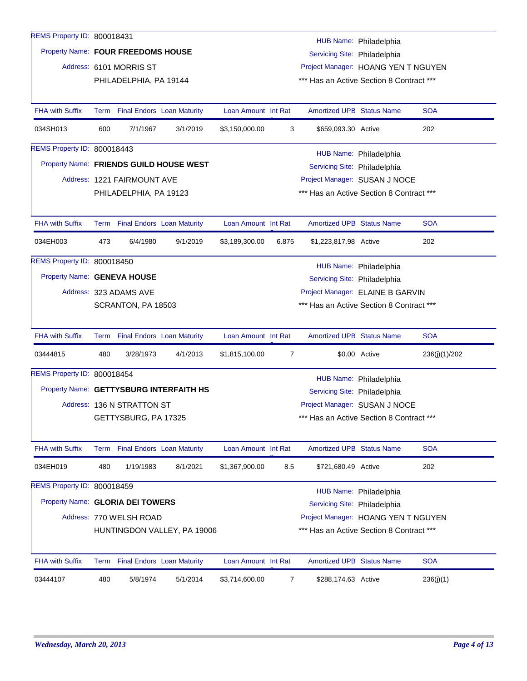| REMS Property ID: 800018431             |     |                                 |                             |                     |       |                                          | HUB Name: Philadelphia |               |
|-----------------------------------------|-----|---------------------------------|-----------------------------|---------------------|-------|------------------------------------------|------------------------|---------------|
| Property Name: FOUR FREEDOMS HOUSE      |     |                                 |                             |                     |       | Servicing Site: Philadelphia             |                        |               |
|                                         |     | Address: 6101 MORRIS ST         |                             |                     |       | Project Manager: HOANG YEN T NGUYEN      |                        |               |
|                                         |     | PHILADELPHIA, PA 19144          |                             |                     |       | *** Has an Active Section 8 Contract *** |                        |               |
|                                         |     |                                 |                             |                     |       |                                          |                        |               |
| <b>FHA with Suffix</b>                  |     | Term Final Endors Loan Maturity |                             | Loan Amount Int Rat |       | <b>Amortized UPB Status Name</b>         |                        | <b>SOA</b>    |
| 034SH013                                | 600 | 7/1/1967                        | 3/1/2019                    | \$3,150,000.00      | 3     | \$659,093.30 Active                      |                        | 202           |
| REMS Property ID: 800018443             |     |                                 |                             |                     |       |                                          |                        |               |
| Property Name: FRIENDS GUILD HOUSE WEST |     |                                 |                             |                     |       | Servicing Site: Philadelphia             | HUB Name: Philadelphia |               |
|                                         |     | Address: 1221 FAIRMOUNT AVE     |                             |                     |       | Project Manager: SUSAN J NOCE            |                        |               |
|                                         |     | PHILADELPHIA, PA 19123          |                             |                     |       | *** Has an Active Section 8 Contract *** |                        |               |
|                                         |     |                                 |                             |                     |       |                                          |                        |               |
| <b>FHA with Suffix</b>                  |     | Term Final Endors Loan Maturity |                             | Loan Amount Int Rat |       | <b>Amortized UPB Status Name</b>         |                        | <b>SOA</b>    |
| 034EH003                                | 473 | 6/4/1980                        | 9/1/2019                    | \$3,189,300.00      | 6.875 | \$1,223,817.98 Active                    |                        | 202           |
| REMS Property ID: 800018450             |     |                                 |                             |                     |       |                                          | HUB Name: Philadelphia |               |
| Property Name: GENEVA HOUSE             |     |                                 |                             |                     |       | Servicing Site: Philadelphia             |                        |               |
|                                         |     | Address: 323 ADAMS AVE          |                             |                     |       | Project Manager: ELAINE B GARVIN         |                        |               |
|                                         |     | SCRANTON, PA 18503              |                             |                     |       | *** Has an Active Section 8 Contract *** |                        |               |
|                                         |     |                                 |                             |                     |       |                                          |                        |               |
| <b>FHA with Suffix</b>                  |     | Term Final Endors Loan Maturity |                             | Loan Amount Int Rat |       | <b>Amortized UPB Status Name</b>         |                        | <b>SOA</b>    |
| 03444815                                | 480 | 3/28/1973                       | 4/1/2013                    | \$1,815,100.00      | 7     |                                          | \$0.00 Active          | 236(j)(1)/202 |
| REMS Property ID: 800018454             |     |                                 |                             |                     |       |                                          | HUB Name: Philadelphia |               |
| Property Name: GETTYSBURG INTERFAITH HS |     |                                 |                             |                     |       | Servicing Site: Philadelphia             |                        |               |
|                                         |     | Address: 136 N STRATTON ST      |                             |                     |       | Project Manager: SUSAN J NOCE            |                        |               |
|                                         |     | GETTYSBURG, PA 17325            |                             |                     |       | *** Has an Active Section 8 Contract *** |                        |               |
|                                         |     |                                 |                             |                     |       |                                          |                        |               |
| <b>FHA with Suffix</b>                  |     | Term Final Endors Loan Maturity |                             | Loan Amount Int Rat |       | Amortized UPB Status Name                |                        | <b>SOA</b>    |
| 034EH019                                | 480 | 1/19/1983                       | 8/1/2021                    | \$1,367,900.00      | 8.5   | \$721,680.49 Active                      |                        | 202           |
| REMS Property ID: 800018459             |     |                                 |                             |                     |       |                                          | HUB Name: Philadelphia |               |
| Property Name: GLORIA DEI TOWERS        |     |                                 |                             |                     |       | Servicing Site: Philadelphia             |                        |               |
|                                         |     | Address: 770 WELSH ROAD         |                             |                     |       | Project Manager: HOANG YEN T NGUYEN      |                        |               |
|                                         |     |                                 | HUNTINGDON VALLEY, PA 19006 |                     |       | *** Has an Active Section 8 Contract *** |                        |               |
|                                         |     |                                 |                             |                     |       |                                          |                        |               |
| <b>FHA with Suffix</b>                  |     | Term Final Endors Loan Maturity |                             | Loan Amount Int Rat |       | <b>Amortized UPB Status Name</b>         |                        | <b>SOA</b>    |
| 03444107                                | 480 | 5/8/1974                        | 5/1/2014                    | \$3,714,600.00      | 7     | \$288,174.63 Active                      |                        | 236(j)(1)     |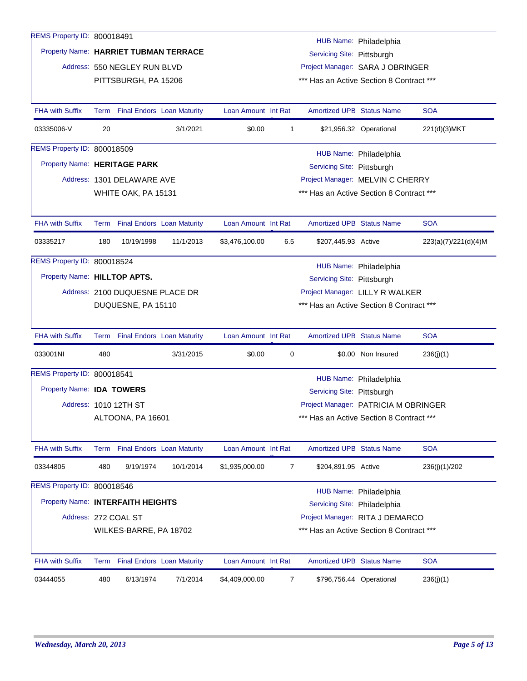| REMS Property ID: 800018491           |      |                                 |                                   |                     |                |                                          |                          |                      |
|---------------------------------------|------|---------------------------------|-----------------------------------|---------------------|----------------|------------------------------------------|--------------------------|----------------------|
|                                       |      |                                 |                                   |                     |                |                                          | HUB Name: Philadelphia   |                      |
| Property Name: HARRIET TUBMAN TERRACE |      |                                 |                                   |                     |                | Servicing Site: Pittsburgh               |                          |                      |
|                                       |      | Address: 550 NEGLEY RUN BLVD    |                                   |                     |                | Project Manager: SARA J OBRINGER         |                          |                      |
|                                       |      | PITTSBURGH, PA 15206            |                                   |                     |                | *** Has an Active Section 8 Contract *** |                          |                      |
|                                       |      |                                 |                                   |                     |                |                                          |                          |                      |
| <b>FHA with Suffix</b>                |      | Term Final Endors Loan Maturity |                                   | Loan Amount Int Rat |                | <b>Amortized UPB Status Name</b>         |                          | <b>SOA</b>           |
| 03335006-V                            | 20   |                                 | 3/1/2021                          | \$0.00              | $\mathbf{1}$   |                                          | \$21,956.32 Operational  | 221(d)(3)MKT         |
| REMS Property ID: 800018509           |      |                                 |                                   |                     |                |                                          | HUB Name: Philadelphia   |                      |
| Property Name: HERITAGE PARK          |      |                                 |                                   |                     |                | Servicing Site: Pittsburgh               |                          |                      |
|                                       |      | Address: 1301 DELAWARE AVE      |                                   |                     |                | Project Manager: MELVIN C CHERRY         |                          |                      |
|                                       |      | WHITE OAK, PA 15131             |                                   |                     |                | *** Has an Active Section 8 Contract *** |                          |                      |
|                                       |      |                                 |                                   |                     |                |                                          |                          |                      |
| <b>FHA with Suffix</b>                |      | Term Final Endors Loan Maturity |                                   | Loan Amount Int Rat |                | Amortized UPB Status Name                |                          | <b>SOA</b>           |
| 03335217                              | 180  | 10/19/1998                      | 11/1/2013                         | \$3,476,100.00      | 6.5            | \$207,445.93 Active                      |                          | 223(a)(7)/221(d)(4)M |
| REMS Property ID: 800018524           |      |                                 |                                   |                     |                |                                          | HUB Name: Philadelphia   |                      |
| Property Name: HILLTOP APTS.          |      |                                 |                                   |                     |                | Servicing Site: Pittsburgh               |                          |                      |
|                                       |      | Address: 2100 DUQUESNE PLACE DR |                                   |                     |                | Project Manager: LILLY R WALKER          |                          |                      |
|                                       |      | DUQUESNE, PA 15110              |                                   |                     |                | *** Has an Active Section 8 Contract *** |                          |                      |
|                                       |      |                                 |                                   |                     |                |                                          |                          |                      |
| <b>FHA with Suffix</b>                |      | Term Final Endors Loan Maturity |                                   | Loan Amount Int Rat |                | <b>Amortized UPB Status Name</b>         |                          | <b>SOA</b>           |
| 033001NI                              | 480  |                                 | 3/31/2015                         | \$0.00              | 0              |                                          | \$0.00 Non Insured       | 236(j)(1)            |
| REMS Property ID: 800018541           |      |                                 |                                   |                     |                |                                          | HUB Name: Philadelphia   |                      |
| Property Name: IDA TOWERS             |      |                                 |                                   |                     |                | Servicing Site: Pittsburgh               |                          |                      |
|                                       |      | Address: 1010 12TH ST           |                                   |                     |                | Project Manager: PATRICIA M OBRINGER     |                          |                      |
|                                       |      | ALTOONA, PA 16601               |                                   |                     |                | *** Has an Active Section 8 Contract *** |                          |                      |
|                                       |      |                                 |                                   |                     |                |                                          |                          |                      |
| <b>FHA with Suffix</b>                | Term |                                 | <b>Final Endors Loan Maturity</b> | Loan Amount Int Rat |                | Amortized UPB Status Name                |                          | <b>SOA</b>           |
| 03344805                              | 480  | 9/19/1974                       | 10/1/2014                         | \$1,935,000.00      | $\overline{7}$ | \$204,891.95 Active                      |                          | 236(j)(1)/202        |
| REMS Property ID: 800018546           |      |                                 |                                   |                     |                |                                          | HUB Name: Philadelphia   |                      |
| Property Name: INTERFAITH HEIGHTS     |      |                                 |                                   |                     |                | Servicing Site: Philadelphia             |                          |                      |
|                                       |      | Address: 272 COAL ST            |                                   |                     |                | Project Manager: RITA J DEMARCO          |                          |                      |
|                                       |      | WILKES-BARRE, PA 18702          |                                   |                     |                | *** Has an Active Section 8 Contract *** |                          |                      |
|                                       |      |                                 |                                   |                     |                |                                          |                          |                      |
| <b>FHA with Suffix</b>                |      | Term Final Endors Loan Maturity |                                   | Loan Amount Int Rat |                | Amortized UPB Status Name                |                          | <b>SOA</b>           |
| 03444055                              | 480  | 6/13/1974                       | 7/1/2014                          | \$4,409,000.00      | 7              |                                          | \$796,756.44 Operational | 236(j)(1)            |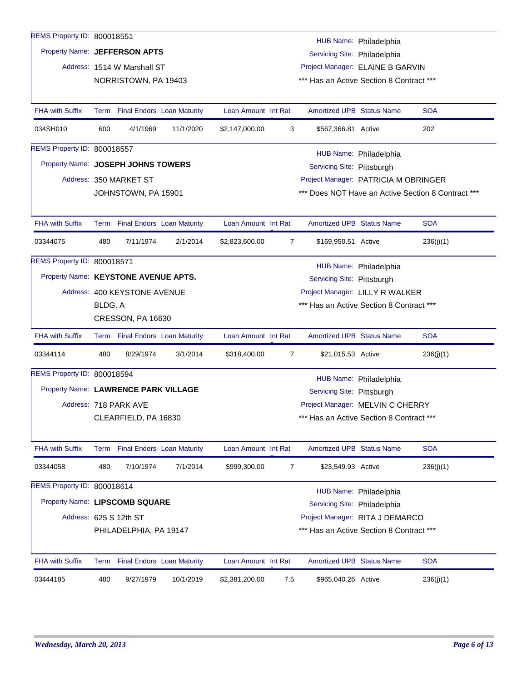| REMS Property ID: 800018551          |         |                                 |                                   |                     |                |                                          |                              |                                                    |
|--------------------------------------|---------|---------------------------------|-----------------------------------|---------------------|----------------|------------------------------------------|------------------------------|----------------------------------------------------|
|                                      |         |                                 |                                   |                     |                |                                          | HUB Name: Philadelphia       |                                                    |
| Property Name: JEFFERSON APTS        |         |                                 |                                   |                     |                | Servicing Site: Philadelphia             |                              |                                                    |
|                                      |         | Address: 1514 W Marshall ST     |                                   |                     |                | Project Manager: ELAINE B GARVIN         |                              |                                                    |
|                                      |         | NORRISTOWN, PA 19403            |                                   |                     |                | *** Has an Active Section 8 Contract *** |                              |                                                    |
|                                      |         |                                 |                                   |                     |                |                                          |                              |                                                    |
| <b>FHA with Suffix</b>               |         | Term Final Endors Loan Maturity |                                   | Loan Amount Int Rat |                | <b>Amortized UPB Status Name</b>         |                              | <b>SOA</b>                                         |
| 034SH010                             | 600     | 4/1/1969                        | 11/1/2020                         | \$2,147,000.00      | 3              | \$567,366.81 Active                      |                              | 202                                                |
| REMS Property ID: 800018557          |         |                                 |                                   |                     |                |                                          | HUB Name: Philadelphia       |                                                    |
| Property Name: JOSEPH JOHNS TOWERS   |         |                                 |                                   |                     |                | Servicing Site: Pittsburgh               |                              |                                                    |
|                                      |         | Address: 350 MARKET ST          |                                   |                     |                | Project Manager: PATRICIA M OBRINGER     |                              |                                                    |
|                                      |         | JOHNSTOWN, PA 15901             |                                   |                     |                |                                          |                              | *** Does NOT Have an Active Section 8 Contract *** |
|                                      |         |                                 |                                   |                     |                |                                          |                              |                                                    |
| <b>FHA with Suffix</b>               |         | Term Final Endors Loan Maturity |                                   | Loan Amount Int Rat |                | <b>Amortized UPB Status Name</b>         |                              | <b>SOA</b>                                         |
| 03344075                             | 480     | 7/11/1974                       | 2/1/2014                          | \$2,823,600.00      | $\overline{7}$ | \$169,950.51 Active                      |                              | 236(j)(1)                                          |
| REMS Property ID: 800018571          |         |                                 |                                   |                     |                |                                          | HUB Name: Philadelphia       |                                                    |
| Property Name: KEYSTONE AVENUE APTS. |         |                                 |                                   |                     |                | Servicing Site: Pittsburgh               |                              |                                                    |
|                                      |         | Address: 400 KEYSTONE AVENUE    |                                   |                     |                | Project Manager: LILLY R WALKER          |                              |                                                    |
|                                      | BLDG. A |                                 |                                   |                     |                | *** Has an Active Section 8 Contract *** |                              |                                                    |
|                                      |         | CRESSON, PA 16630               |                                   |                     |                |                                          |                              |                                                    |
| <b>FHA with Suffix</b>               |         | Term Final Endors Loan Maturity |                                   | Loan Amount Int Rat |                | <b>Amortized UPB Status Name</b>         |                              | <b>SOA</b>                                         |
| 03344114                             | 480     | 8/29/1974                       | 3/1/2014                          | \$318,400.00        | 7              | \$21,015.53 Active                       |                              | 236(j)(1)                                          |
| REMS Property ID: 800018594          |         |                                 |                                   |                     |                |                                          | HUB Name: Philadelphia       |                                                    |
| Property Name: LAWRENCE PARK VILLAGE |         |                                 |                                   |                     |                | Servicing Site: Pittsburgh               |                              |                                                    |
|                                      |         | Address: 718 PARK AVE           |                                   |                     |                | Project Manager: MELVIN C CHERRY         |                              |                                                    |
|                                      |         | CLEARFIELD, PA 16830            |                                   |                     |                | *** Has an Active Section 8 Contract *** |                              |                                                    |
|                                      |         |                                 |                                   |                     |                |                                          |                              |                                                    |
| <b>FHA with Suffix</b>               |         | Term Final Endors Loan Maturity |                                   | Loan Amount Int Rat |                | Amortized UPB Status Name                |                              | <b>SOA</b>                                         |
| 03344058                             | 480     | 7/10/1974                       | 7/1/2014                          | \$999,300.00        | 7              | \$23,549.93 Active                       |                              | 236(j)(1)                                          |
| REMS Property ID: 800018614          |         |                                 |                                   |                     |                |                                          | HUB Name: Philadelphia       |                                                    |
| Property Name: LIPSCOMB SQUARE       |         |                                 |                                   |                     |                |                                          | Servicing Site: Philadelphia |                                                    |
|                                      |         | Address: 625 S 12th ST          |                                   |                     |                | Project Manager: RITA J DEMARCO          |                              |                                                    |
|                                      |         | PHILADELPHIA, PA 19147          |                                   |                     |                | *** Has an Active Section 8 Contract *** |                              |                                                    |
|                                      |         |                                 |                                   |                     |                |                                          |                              |                                                    |
| <b>FHA with Suffix</b>               | Term    |                                 | <b>Final Endors Loan Maturity</b> | Loan Amount Int Rat |                | <b>Amortized UPB Status Name</b>         |                              | <b>SOA</b>                                         |
| 03444185                             | 480     | 9/27/1979                       | 10/1/2019                         | \$2,381,200.00      | 7.5            | \$965,040.26 Active                      |                              | 236(j)(1)                                          |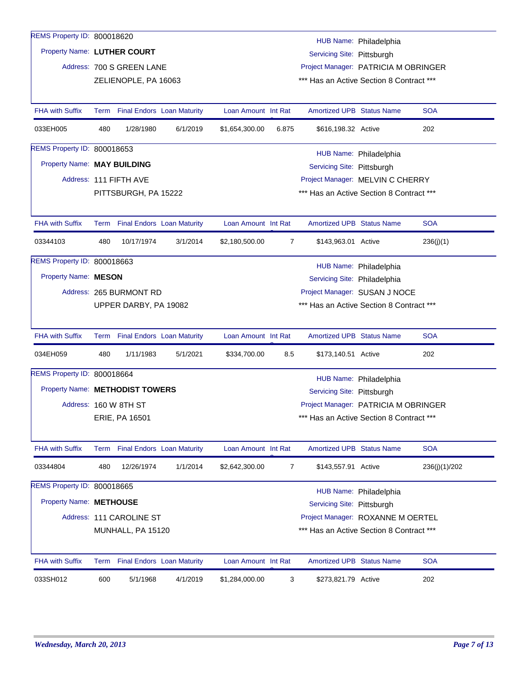| REMS Property ID: 800018620     |     |                           |                                 |                     |                |                                          | HUB Name: Philadelphia                   |               |
|---------------------------------|-----|---------------------------|---------------------------------|---------------------|----------------|------------------------------------------|------------------------------------------|---------------|
| Property Name: LUTHER COURT     |     |                           |                                 |                     |                | Servicing Site: Pittsburgh               |                                          |               |
|                                 |     | Address: 700 S GREEN LANE |                                 |                     |                |                                          | Project Manager: PATRICIA M OBRINGER     |               |
|                                 |     | ZELIENOPLE, PA 16063      |                                 |                     |                | *** Has an Active Section 8 Contract *** |                                          |               |
|                                 |     |                           |                                 |                     |                |                                          |                                          |               |
| <b>FHA with Suffix</b>          |     |                           | Term Final Endors Loan Maturity | Loan Amount Int Rat |                | <b>Amortized UPB Status Name</b>         |                                          | SOA           |
| 033EH005                        | 480 | 1/28/1980                 | 6/1/2019                        | \$1,654,300.00      | 6.875          | \$616,198.32 Active                      |                                          | 202           |
| REMS Property ID: 800018653     |     |                           |                                 |                     |                |                                          | HUB Name: Philadelphia                   |               |
| Property Name: MAY BUILDING     |     |                           |                                 |                     |                | Servicing Site: Pittsburgh               |                                          |               |
|                                 |     | Address: 111 FIFTH AVE    |                                 |                     |                |                                          | Project Manager: MELVIN C CHERRY         |               |
|                                 |     | PITTSBURGH, PA 15222      |                                 |                     |                |                                          | *** Has an Active Section 8 Contract *** |               |
|                                 |     |                           |                                 |                     |                |                                          |                                          |               |
| <b>FHA with Suffix</b>          |     |                           | Term Final Endors Loan Maturity | Loan Amount Int Rat |                | <b>Amortized UPB Status Name</b>         |                                          | <b>SOA</b>    |
| 03344103                        | 480 | 10/17/1974                | 3/1/2014                        | \$2,180,500.00      | $\overline{7}$ | \$143,963.01 Active                      |                                          | 236(j)(1)     |
| REMS Property ID: 800018663     |     |                           |                                 |                     |                |                                          | HUB Name: Philadelphia                   |               |
| Property Name: MESON            |     |                           |                                 |                     |                | Servicing Site: Philadelphia             |                                          |               |
|                                 |     | Address: 265 BURMONT RD   |                                 |                     |                |                                          | Project Manager: SUSAN J NOCE            |               |
|                                 |     | UPPER DARBY, PA 19082     |                                 |                     |                |                                          | *** Has an Active Section 8 Contract *** |               |
|                                 |     |                           |                                 |                     |                |                                          |                                          |               |
| <b>FHA with Suffix</b>          |     |                           | Term Final Endors Loan Maturity | Loan Amount Int Rat |                | <b>Amortized UPB Status Name</b>         |                                          | <b>SOA</b>    |
| 034EH059                        | 480 | 1/11/1983                 | 5/1/2021                        | \$334,700.00        | 8.5            | \$173,140.51 Active                      |                                          | 202           |
| REMS Property ID: 800018664     |     |                           |                                 |                     |                |                                          | HUB Name: Philadelphia                   |               |
| Property Name: METHODIST TOWERS |     |                           |                                 |                     |                | Servicing Site: Pittsburgh               |                                          |               |
|                                 |     | Address: 160 W 8TH ST     |                                 |                     |                |                                          | Project Manager: PATRICIA M OBRINGER     |               |
|                                 |     | ERIE, PA 16501            |                                 |                     |                | *** Has an Active Section 8 Contract *** |                                          |               |
|                                 |     |                           |                                 |                     |                |                                          |                                          |               |
| <b>FHA with Suffix</b>          |     |                           | Term Final Endors Loan Maturity | Loan Amount Int Rat |                | <b>Amortized UPB Status Name</b>         |                                          | <b>SOA</b>    |
| 03344804                        | 480 | 12/26/1974                | 1/1/2014                        | \$2,642,300.00      | 7              | \$143,557.91 Active                      |                                          | 236(j)(1)/202 |
| REMS Property ID: 800018665     |     |                           |                                 |                     |                |                                          | HUB Name: Philadelphia                   |               |
| Property Name: METHOUSE         |     |                           |                                 |                     |                | Servicing Site: Pittsburgh               |                                          |               |
|                                 |     | Address: 111 CAROLINE ST  |                                 |                     |                |                                          | Project Manager: ROXANNE M OERTEL        |               |
|                                 |     | MUNHALL, PA 15120         |                                 |                     |                | *** Has an Active Section 8 Contract *** |                                          |               |
|                                 |     |                           |                                 |                     |                |                                          |                                          |               |
| <b>FHA with Suffix</b>          |     |                           | Term Final Endors Loan Maturity | Loan Amount Int Rat |                | <b>Amortized UPB Status Name</b>         |                                          | <b>SOA</b>    |
| 033SH012                        | 600 | 5/1/1968                  | 4/1/2019                        | \$1,284,000.00      | 3              | \$273,821.79 Active                      |                                          | 202           |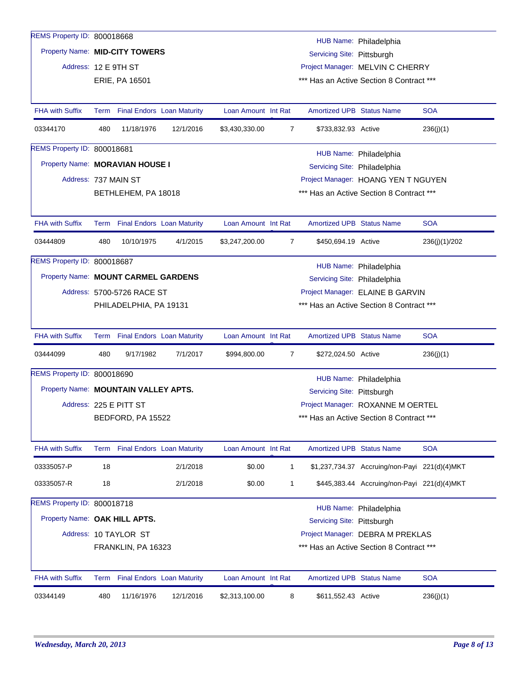| REMS Property ID: 800018668          |     |                            |                                 |                     |                |                                  |                                               |               |
|--------------------------------------|-----|----------------------------|---------------------------------|---------------------|----------------|----------------------------------|-----------------------------------------------|---------------|
| Property Name: MID-CITY TOWERS       |     |                            |                                 |                     |                |                                  | HUB Name: Philadelphia                        |               |
|                                      |     |                            |                                 |                     |                | Servicing Site: Pittsburgh       |                                               |               |
| Address: 12 E 9TH ST                 |     |                            |                                 |                     |                |                                  | Project Manager: MELVIN C CHERRY              |               |
|                                      |     | ERIE, PA 16501             |                                 |                     |                |                                  | *** Has an Active Section 8 Contract ***      |               |
| <b>FHA with Suffix</b>               |     |                            | Term Final Endors Loan Maturity | Loan Amount Int Rat |                | <b>Amortized UPB Status Name</b> |                                               | <b>SOA</b>    |
| 03344170                             | 480 | 11/18/1976                 | 12/1/2016                       | \$3,430,330.00      | 7              | \$733,832.93 Active              |                                               | 236(j)(1)     |
| REMS Property ID: 800018681          |     |                            |                                 |                     |                |                                  | HUB Name: Philadelphia                        |               |
| Property Name: MORAVIAN HOUSE I      |     |                            |                                 |                     |                | Servicing Site: Philadelphia     |                                               |               |
| Address: 737 MAIN ST                 |     |                            |                                 |                     |                |                                  | Project Manager: HOANG YEN T NGUYEN           |               |
|                                      |     | BETHLEHEM, PA 18018        |                                 |                     |                |                                  | *** Has an Active Section 8 Contract ***      |               |
| <b>FHA with Suffix</b>               |     |                            | Term Final Endors Loan Maturity | Loan Amount Int Rat |                | <b>Amortized UPB Status Name</b> |                                               | <b>SOA</b>    |
| 03444809                             | 480 | 10/10/1975                 | 4/1/2015                        | \$3,247,200.00      | $\overline{7}$ | \$450,694.19 Active              |                                               | 236(j)(1)/202 |
| REMS Property ID: 800018687          |     |                            |                                 |                     |                |                                  | HUB Name: Philadelphia                        |               |
| Property Name: MOUNT CARMEL GARDENS  |     |                            |                                 |                     |                | Servicing Site: Philadelphia     |                                               |               |
|                                      |     | Address: 5700-5726 RACE ST |                                 |                     |                |                                  | Project Manager: ELAINE B GARVIN              |               |
|                                      |     | PHILADELPHIA, PA 19131     |                                 |                     |                |                                  | *** Has an Active Section 8 Contract ***      |               |
|                                      |     |                            |                                 |                     |                |                                  |                                               |               |
| <b>FHA with Suffix</b>               |     |                            | Term Final Endors Loan Maturity | Loan Amount Int Rat |                | <b>Amortized UPB Status Name</b> |                                               | <b>SOA</b>    |
| 03444099                             | 480 | 9/17/1982                  | 7/1/2017                        | \$994,800.00        | $\overline{7}$ | \$272,024.50 Active              |                                               | 236(j)(1)     |
| REMS Property ID: 800018690          |     |                            |                                 |                     |                |                                  | HUB Name: Philadelphia                        |               |
| Property Name: MOUNTAIN VALLEY APTS. |     |                            |                                 |                     |                | Servicing Site: Pittsburgh       |                                               |               |
|                                      |     | Address: 225 E PITT ST     |                                 |                     |                |                                  | Project Manager: ROXANNE M OERTEL             |               |
|                                      |     | BEDFORD, PA 15522          |                                 |                     |                |                                  | *** Has an Active Section 8 Contract ***      |               |
|                                      |     |                            |                                 |                     |                |                                  |                                               |               |
| <b>FHA with Suffix</b>               |     |                            | Term Final Endors Loan Maturity | Loan Amount Int Rat |                | Amortized UPB Status Name        |                                               | <b>SOA</b>    |
| 03335057-P                           | 18  |                            | 2/1/2018                        | \$0.00              | $\mathbf{1}$   |                                  | \$1,237,734.37 Accruing/non-Payi 221(d)(4)MKT |               |
| 03335057-R                           | 18  |                            | 2/1/2018                        | \$0.00              | 1              |                                  | \$445,383.44 Accruing/non-Payi 221(d)(4)MKT   |               |
| REMS Property ID: 800018718          |     |                            |                                 |                     |                |                                  | HUB Name: Philadelphia                        |               |
| Property Name: OAK HILL APTS.        |     |                            |                                 |                     |                | Servicing Site: Pittsburgh       |                                               |               |
|                                      |     | Address: 10 TAYLOR ST      |                                 |                     |                |                                  | Project Manager: DEBRA M PREKLAS              |               |
|                                      |     | FRANKLIN, PA 16323         |                                 |                     |                |                                  | *** Has an Active Section 8 Contract ***      |               |
|                                      |     |                            |                                 |                     |                |                                  |                                               |               |
| <b>FHA with Suffix</b>               |     |                            | Term Final Endors Loan Maturity | Loan Amount Int Rat |                | <b>Amortized UPB Status Name</b> |                                               | <b>SOA</b>    |
| 03344149                             | 480 | 11/16/1976                 | 12/1/2016                       | \$2,313,100.00      | 8              | \$611,552.43 Active              |                                               | 236(j)(1)     |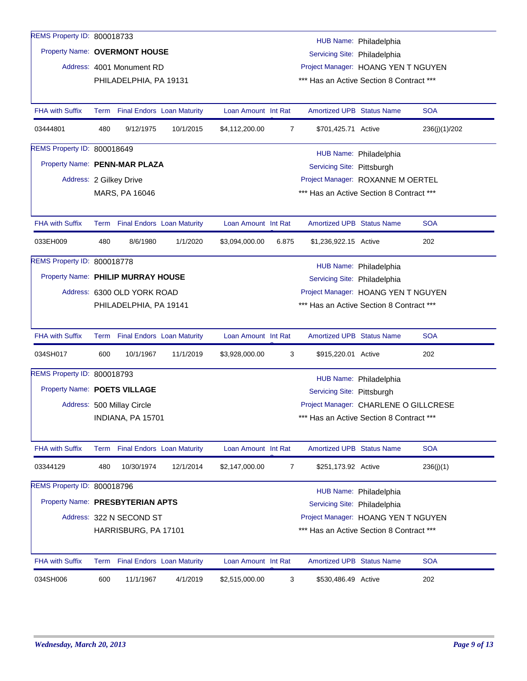| REMS Property ID: 800018733        |      |                             |                                   |                     |                |                                                                     |                        |               |
|------------------------------------|------|-----------------------------|-----------------------------------|---------------------|----------------|---------------------------------------------------------------------|------------------------|---------------|
| Property Name: OVERMONT HOUSE      |      |                             |                                   |                     |                |                                                                     | HUB Name: Philadelphia |               |
|                                    |      | Address: 4001 Monument RD   |                                   |                     |                | Servicing Site: Philadelphia<br>Project Manager: HOANG YEN T NGUYEN |                        |               |
|                                    |      | PHILADELPHIA, PA 19131      |                                   |                     |                | *** Has an Active Section 8 Contract ***                            |                        |               |
|                                    |      |                             |                                   |                     |                |                                                                     |                        |               |
| <b>FHA with Suffix</b>             | Term |                             | <b>Final Endors Loan Maturity</b> | Loan Amount Int Rat |                | <b>Amortized UPB Status Name</b>                                    |                        | <b>SOA</b>    |
| 03444801                           | 480  | 9/12/1975                   | 10/1/2015                         | \$4,112,200.00      | 7              | \$701,425.71 Active                                                 |                        | 236(j)(1)/202 |
| REMS Property ID: 800018649        |      |                             |                                   |                     |                |                                                                     | HUB Name: Philadelphia |               |
| Property Name: PENN-MAR PLAZA      |      |                             |                                   |                     |                | Servicing Site: Pittsburgh                                          |                        |               |
|                                    |      | Address: 2 Gilkey Drive     |                                   |                     |                | Project Manager: ROXANNE M OERTEL                                   |                        |               |
|                                    |      | MARS, PA 16046              |                                   |                     |                | *** Has an Active Section 8 Contract ***                            |                        |               |
|                                    |      |                             |                                   |                     |                |                                                                     |                        |               |
| FHA with Suffix                    | Term |                             | <b>Final Endors Loan Maturity</b> | Loan Amount Int Rat |                | <b>Amortized UPB Status Name</b>                                    |                        | <b>SOA</b>    |
| 033EH009                           | 480  | 8/6/1980                    | 1/1/2020                          | \$3,094,000.00      | 6.875          | \$1,236,922.15 Active                                               |                        | 202           |
| REMS Property ID: 800018778        |      |                             |                                   |                     |                |                                                                     | HUB Name: Philadelphia |               |
| Property Name: PHILIP MURRAY HOUSE |      |                             |                                   |                     |                | Servicing Site: Philadelphia                                        |                        |               |
|                                    |      | Address: 6300 OLD YORK ROAD |                                   |                     |                | Project Manager: HOANG YEN T NGUYEN                                 |                        |               |
|                                    |      | PHILADELPHIA, PA 19141      |                                   |                     |                | *** Has an Active Section 8 Contract ***                            |                        |               |
| <b>FHA with Suffix</b>             |      |                             | Term Final Endors Loan Maturity   | Loan Amount Int Rat |                | <b>Amortized UPB Status Name</b>                                    |                        | <b>SOA</b>    |
| 034SH017                           | 600  | 10/1/1967                   | 11/1/2019                         | \$3,928,000.00      | 3              | \$915,220.01 Active                                                 |                        | 202           |
| REMS Property ID: 800018793        |      |                             |                                   |                     |                |                                                                     | HUB Name: Philadelphia |               |
| Property Name: POETS VILLAGE       |      |                             |                                   |                     |                | Servicing Site: Pittsburgh                                          |                        |               |
|                                    |      | Address: 500 Millay Circle  |                                   |                     |                | Project Manager: CHARLENE O GILLCRESE                               |                        |               |
|                                    |      | INDIANA, PA 15701           |                                   |                     |                | *** Has an Active Section 8 Contract ***                            |                        |               |
|                                    |      |                             |                                   |                     |                |                                                                     |                        |               |
| <b>FHA with Suffix</b>             | Term |                             | <b>Final Endors Loan Maturity</b> | Loan Amount Int Rat |                | <b>Amortized UPB Status Name</b>                                    |                        | <b>SOA</b>    |
| 03344129                           | 480  | 10/30/1974                  | 12/1/2014                         | \$2,147,000.00      | $\overline{7}$ | \$251,173.92 Active                                                 |                        | 236(j)(1)     |
| REMS Property ID: 800018796        |      |                             |                                   |                     |                |                                                                     | HUB Name: Philadelphia |               |
| Property Name: PRESBYTERIAN APTS   |      |                             |                                   |                     |                | Servicing Site: Philadelphia                                        |                        |               |
|                                    |      | Address: 322 N SECOND ST    |                                   |                     |                | Project Manager: HOANG YEN T NGUYEN                                 |                        |               |
|                                    |      | HARRISBURG, PA 17101        |                                   |                     |                | *** Has an Active Section 8 Contract ***                            |                        |               |
| <b>FHA with Suffix</b>             |      |                             | Term Final Endors Loan Maturity   | Loan Amount Int Rat |                | <b>Amortized UPB Status Name</b>                                    |                        | <b>SOA</b>    |
|                                    |      |                             |                                   |                     |                |                                                                     |                        |               |
| 034SH006                           | 600  | 11/1/1967                   | 4/1/2019                          | \$2,515,000.00      | 3              | \$530,486.49 Active                                                 |                        | 202           |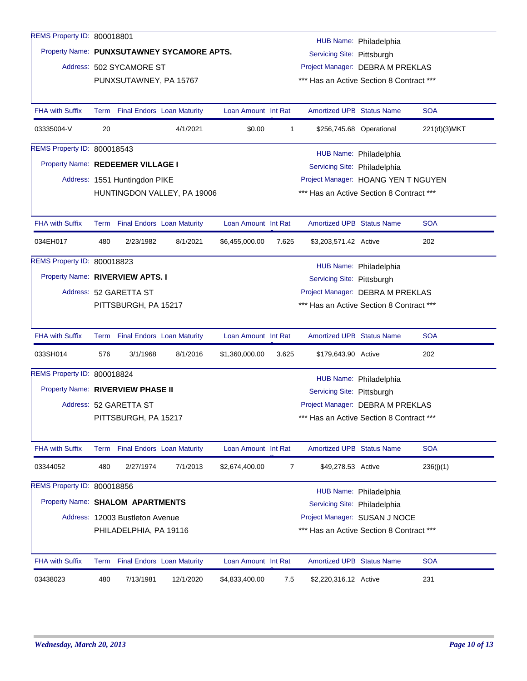| REMS Property ID: 800018801       |      |                                   |                                            |                     |       |                                          | HUB Name: Philadelphia   |              |
|-----------------------------------|------|-----------------------------------|--------------------------------------------|---------------------|-------|------------------------------------------|--------------------------|--------------|
|                                   |      |                                   | Property Name: PUNXSUTAWNEY SYCAMORE APTS. |                     |       | Servicing Site: Pittsburgh               |                          |              |
|                                   |      | Address: 502 SYCAMORE ST          |                                            |                     |       | Project Manager: DEBRA M PREKLAS         |                          |              |
|                                   |      | PUNXSUTAWNEY, PA 15767            |                                            |                     |       | *** Has an Active Section 8 Contract *** |                          |              |
|                                   |      |                                   |                                            |                     |       |                                          |                          |              |
| <b>FHA with Suffix</b>            |      | Term Final Endors Loan Maturity   |                                            | Loan Amount Int Rat |       | <b>Amortized UPB Status Name</b>         |                          | <b>SOA</b>   |
| 03335004-V                        | 20   |                                   | 4/1/2021                                   | \$0.00              | 1     |                                          | \$256,745.68 Operational | 221(d)(3)MKT |
| REMS Property ID: 800018543       |      |                                   |                                            |                     |       |                                          | HUB Name: Philadelphia   |              |
| Property Name: REDEEMER VILLAGE I |      |                                   |                                            |                     |       | Servicing Site: Philadelphia             |                          |              |
|                                   |      | Address: 1551 Huntingdon PIKE     |                                            |                     |       | Project Manager: HOANG YEN T NGUYEN      |                          |              |
|                                   |      |                                   | HUNTINGDON VALLEY, PA 19006                |                     |       | *** Has an Active Section 8 Contract *** |                          |              |
|                                   |      |                                   |                                            |                     |       |                                          |                          |              |
| <b>FHA with Suffix</b>            |      | Term Final Endors Loan Maturity   |                                            | Loan Amount Int Rat |       | <b>Amortized UPB Status Name</b>         |                          | <b>SOA</b>   |
| 034EH017                          | 480  | 2/23/1982                         | 8/1/2021                                   | \$6,455,000.00      | 7.625 | \$3,203,571.42 Active                    |                          | 202          |
| REMS Property ID: 800018823       |      |                                   |                                            |                     |       |                                          | HUB Name: Philadelphia   |              |
| Property Name: RIVERVIEW APTS. I  |      |                                   |                                            |                     |       | Servicing Site: Pittsburgh               |                          |              |
|                                   |      | Address: 52 GARETTA ST            |                                            |                     |       | Project Manager: DEBRA M PREKLAS         |                          |              |
|                                   |      | PITTSBURGH, PA 15217              |                                            |                     |       | *** Has an Active Section 8 Contract *** |                          |              |
|                                   |      |                                   |                                            |                     |       |                                          |                          |              |
| <b>FHA with Suffix</b>            |      | Term Final Endors Loan Maturity   |                                            | Loan Amount Int Rat |       | <b>Amortized UPB Status Name</b>         |                          | <b>SOA</b>   |
| 033SH014                          | 576  | 3/1/1968                          | 8/1/2016                                   | \$1,360,000.00      | 3.625 | \$179,643.90 Active                      |                          | 202          |
| REMS Property ID: 800018824       |      |                                   |                                            |                     |       |                                          | HUB Name: Philadelphia   |              |
| Property Name: RIVERVIEW PHASE II |      |                                   |                                            |                     |       | Servicing Site: Pittsburgh               |                          |              |
|                                   |      | Address: 52 GARETTA ST            |                                            |                     |       | Project Manager: DEBRA M PREKLAS         |                          |              |
|                                   |      | PITTSBURGH, PA 15217              |                                            |                     |       | *** Has an Active Section 8 Contract *** |                          |              |
|                                   |      |                                   |                                            |                     |       |                                          |                          |              |
| <b>FHA with Suffix</b>            |      | Term Final Endors Loan Maturity   |                                            | Loan Amount Int Rat |       | Amortized UPB Status Name                |                          | <b>SOA</b>   |
| 03344052                          | 480  | 2/27/1974                         | 7/1/2013                                   | \$2,674,400.00      | 7     | \$49,278.53 Active                       |                          | 236(i)(1)    |
| REMS Property ID: 800018856       |      |                                   |                                            |                     |       |                                          |                          |              |
| Property Name: SHALOM APARTMENTS  |      |                                   |                                            |                     |       | Servicing Site: Philadelphia             | HUB Name: Philadelphia   |              |
|                                   |      | Address: 12003 Bustleton Avenue   |                                            |                     |       | Project Manager: SUSAN J NOCE            |                          |              |
|                                   |      | PHILADELPHIA, PA 19116            |                                            |                     |       | *** Has an Active Section 8 Contract *** |                          |              |
|                                   |      |                                   |                                            |                     |       |                                          |                          |              |
| <b>FHA with Suffix</b>            | Term | <b>Final Endors Loan Maturity</b> |                                            | Loan Amount Int Rat |       | <b>Amortized UPB Status Name</b>         |                          | <b>SOA</b>   |
| 03438023                          | 480  | 7/13/1981                         | 12/1/2020                                  | \$4,833,400.00      | 7.5   | \$2,220,316.12 Active                    |                          | 231          |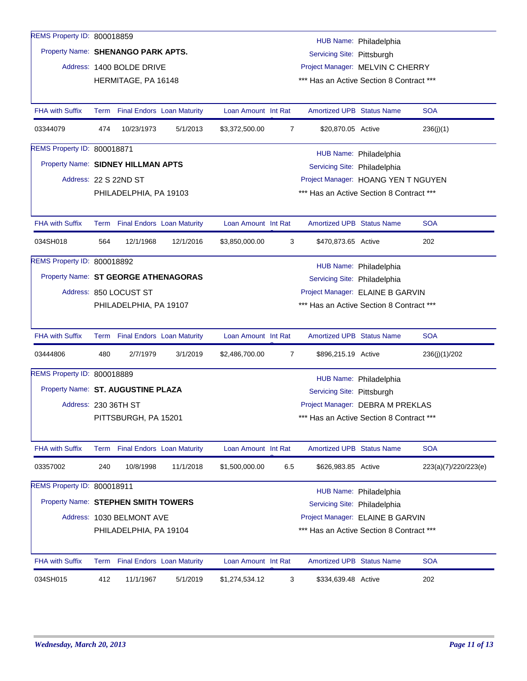| REMS Property ID: 800018859          |     |                                 |           |                     |                |                                          | HUB Name: Philadelphia |                      |
|--------------------------------------|-----|---------------------------------|-----------|---------------------|----------------|------------------------------------------|------------------------|----------------------|
| Property Name: SHENANGO PARK APTS.   |     |                                 |           |                     |                | Servicing Site: Pittsburgh               |                        |                      |
|                                      |     | Address: 1400 BOLDE DRIVE       |           |                     |                | Project Manager: MELVIN C CHERRY         |                        |                      |
|                                      |     | HERMITAGE, PA 16148             |           |                     |                | *** Has an Active Section 8 Contract *** |                        |                      |
|                                      |     |                                 |           |                     |                |                                          |                        |                      |
| <b>FHA with Suffix</b>               |     | Term Final Endors Loan Maturity |           | Loan Amount Int Rat |                | <b>Amortized UPB Status Name</b>         |                        | <b>SOA</b>           |
| 03344079                             | 474 | 10/23/1973                      | 5/1/2013  | \$3,372,500.00      | 7              | \$20,870.05 Active                       |                        | 236(j)(1)            |
| REMS Property ID: 800018871          |     |                                 |           |                     |                |                                          | HUB Name: Philadelphia |                      |
| Property Name: SIDNEY HILLMAN APTS   |     |                                 |           |                     |                | Servicing Site: Philadelphia             |                        |                      |
|                                      |     | Address: 22 S 22ND ST           |           |                     |                | Project Manager: HOANG YEN T NGUYEN      |                        |                      |
|                                      |     | PHILADELPHIA, PA 19103          |           |                     |                | *** Has an Active Section 8 Contract *** |                        |                      |
|                                      |     |                                 |           |                     |                |                                          |                        |                      |
| <b>FHA with Suffix</b>               |     | Term Final Endors Loan Maturity |           | Loan Amount Int Rat |                | <b>Amortized UPB Status Name</b>         |                        | <b>SOA</b>           |
| 034SH018                             | 564 | 12/1/1968                       | 12/1/2016 | \$3,850,000.00      | 3              | \$470,873.65 Active                      |                        | 202                  |
| REMS Property ID: 800018892          |     |                                 |           |                     |                |                                          | HUB Name: Philadelphia |                      |
| Property Name: ST GEORGE ATHENAGORAS |     |                                 |           |                     |                | Servicing Site: Philadelphia             |                        |                      |
|                                      |     | Address: 850 LOCUST ST          |           |                     |                | Project Manager: ELAINE B GARVIN         |                        |                      |
|                                      |     | PHILADELPHIA, PA 19107          |           |                     |                | *** Has an Active Section 8 Contract *** |                        |                      |
|                                      |     |                                 |           |                     |                |                                          |                        |                      |
| <b>FHA with Suffix</b>               |     | Term Final Endors Loan Maturity |           | Loan Amount Int Rat |                | <b>Amortized UPB Status Name</b>         |                        | <b>SOA</b>           |
| 03444806                             | 480 | 2/7/1979                        | 3/1/2019  | \$2,486,700.00      | $\overline{7}$ | \$896,215.19 Active                      |                        | 236(j)(1)/202        |
| REMS Property ID: 800018889          |     |                                 |           |                     |                |                                          | HUB Name: Philadelphia |                      |
| Property Name: ST. AUGUSTINE PLAZA   |     |                                 |           |                     |                | Servicing Site: Pittsburgh               |                        |                      |
| Address: 230 36TH ST                 |     |                                 |           |                     |                | Project Manager: DEBRA M PREKLAS         |                        |                      |
|                                      |     | PITTSBURGH, PA 15201            |           |                     |                | *** Has an Active Section 8 Contract *** |                        |                      |
|                                      |     |                                 |           |                     |                |                                          |                        |                      |
| FHA with Suffix                      |     | Term Final Endors Loan Maturity |           | Loan Amount Int Rat |                | <b>Amortized UPB Status Name</b>         |                        | <b>SOA</b>           |
| 03357002                             | 240 | 10/8/1998                       | 11/1/2018 | \$1,500,000.00      | 6.5            | \$626,983.85 Active                      |                        | 223(a)(7)/220/223(e) |
| REMS Property ID: 800018911          |     |                                 |           |                     |                |                                          | HUB Name: Philadelphia |                      |
| Property Name: STEPHEN SMITH TOWERS  |     |                                 |           |                     |                | Servicing Site: Philadelphia             |                        |                      |
|                                      |     | Address: 1030 BELMONT AVE       |           |                     |                | Project Manager: ELAINE B GARVIN         |                        |                      |
|                                      |     | PHILADELPHIA, PA 19104          |           |                     |                | *** Has an Active Section 8 Contract *** |                        |                      |
|                                      |     |                                 |           |                     |                |                                          |                        |                      |
| <b>FHA with Suffix</b>               |     | Term Final Endors Loan Maturity |           | Loan Amount Int Rat |                | <b>Amortized UPB Status Name</b>         |                        | <b>SOA</b>           |
| 034SH015                             | 412 | 11/1/1967                       | 5/1/2019  | \$1,274,534.12      | 3              | \$334,639.48 Active                      |                        | 202                  |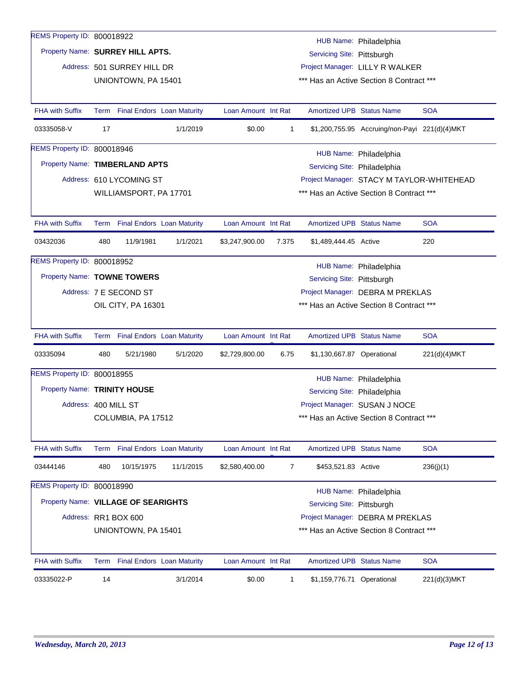| REMS Property ID: 800018922         |      |                                             |                                   |                     |                |                                                                              |                                               |                                           |
|-------------------------------------|------|---------------------------------------------|-----------------------------------|---------------------|----------------|------------------------------------------------------------------------------|-----------------------------------------------|-------------------------------------------|
|                                     |      |                                             |                                   |                     |                |                                                                              | HUB Name: Philadelphia                        |                                           |
| Property Name: SURREY HILL APTS.    |      |                                             |                                   |                     |                | Servicing Site: Pittsburgh                                                   |                                               |                                           |
|                                     |      | Address: 501 SURREY HILL DR                 |                                   |                     |                | Project Manager: LILLY R WALKER                                              |                                               |                                           |
|                                     |      | UNIONTOWN, PA 15401                         |                                   |                     |                | *** Has an Active Section 8 Contract ***                                     |                                               |                                           |
| <b>FHA with Suffix</b>              |      |                                             | Term Final Endors Loan Maturity   | Loan Amount Int Rat |                | <b>Amortized UPB Status Name</b>                                             |                                               | <b>SOA</b>                                |
| 03335058-V                          | 17   |                                             | 1/1/2019                          | \$0.00              | $\mathbf{1}$   |                                                                              | \$1,200,755.95 Accruing/non-Payi 221(d)(4)MKT |                                           |
| REMS Property ID: 800018946         |      |                                             |                                   |                     |                |                                                                              | HUB Name: Philadelphia                        |                                           |
| Property Name: TIMBERLAND APTS      |      |                                             |                                   |                     |                | Servicing Site: Philadelphia                                                 |                                               |                                           |
|                                     |      | Address: 610 LYCOMING ST                    |                                   |                     |                |                                                                              |                                               | Project Manager: STACY M TAYLOR-WHITEHEAD |
|                                     |      | WILLIAMSPORT, PA 17701                      |                                   |                     |                | *** Has an Active Section 8 Contract ***                                     |                                               |                                           |
|                                     |      |                                             |                                   |                     |                |                                                                              |                                               |                                           |
| <b>FHA with Suffix</b>              |      |                                             | Term Final Endors Loan Maturity   | Loan Amount Int Rat |                | <b>Amortized UPB Status Name</b>                                             |                                               | <b>SOA</b>                                |
| 03432036                            | 480  | 11/9/1981                                   | 1/1/2021                          | \$3,247,900.00      | 7.375          | \$1,489,444.45 Active                                                        |                                               | 220                                       |
| REMS Property ID: 800018952         |      |                                             |                                   |                     |                |                                                                              | HUB Name: Philadelphia                        |                                           |
| Property Name: TOWNE TOWERS         |      |                                             |                                   |                     |                | Servicing Site: Pittsburgh                                                   |                                               |                                           |
|                                     |      | Address: 7 E SECOND ST                      |                                   |                     |                | Project Manager: DEBRA M PREKLAS                                             |                                               |                                           |
|                                     |      | OIL CITY, PA 16301                          |                                   |                     |                | *** Has an Active Section 8 Contract ***                                     |                                               |                                           |
| <b>FHA with Suffix</b>              |      |                                             | Term Final Endors Loan Maturity   | Loan Amount Int Rat |                | <b>Amortized UPB Status Name</b>                                             |                                               | <b>SOA</b>                                |
| 03335094                            | 480  | 5/21/1980                                   | 5/1/2020                          | \$2,729,800.00      | 6.75           | \$1,130,667.87 Operational                                                   |                                               | 221(d)(4)MKT                              |
| REMS Property ID: 800018955         |      |                                             |                                   |                     |                |                                                                              |                                               |                                           |
| Property Name: TRINITY HOUSE        |      |                                             |                                   |                     |                | Servicing Site: Philadelphia                                                 | HUB Name: Philadelphia                        |                                           |
| Address: 400 MILL ST                |      |                                             |                                   |                     |                | Project Manager: SUSAN J NOCE                                                |                                               |                                           |
|                                     |      | COLUMBIA, PA 17512                          |                                   |                     |                | *** Has an Active Section 8 Contract ***                                     |                                               |                                           |
|                                     |      |                                             |                                   |                     |                |                                                                              |                                               |                                           |
| FHA with Suffix                     | Term |                                             | <b>Final Endors Loan Maturity</b> | Loan Amount Int Rat |                | <b>Amortized UPB Status Name</b>                                             |                                               | <b>SOA</b>                                |
| 03444146                            | 480  | 10/15/1975                                  | 11/1/2015                         | \$2,580,400.00      | $\overline{7}$ | \$453,521.83 Active                                                          |                                               | 236(j)(1)                                 |
| REMS Property ID: 800018990         |      |                                             |                                   |                     |                |                                                                              |                                               |                                           |
|                                     |      |                                             |                                   |                     |                |                                                                              |                                               |                                           |
|                                     |      |                                             |                                   |                     |                |                                                                              | HUB Name: Philadelphia                        |                                           |
| Property Name: VILLAGE OF SEARIGHTS |      |                                             |                                   |                     |                | Servicing Site: Pittsburgh                                                   |                                               |                                           |
|                                     |      | Address: RR1 BOX 600<br>UNIONTOWN, PA 15401 |                                   |                     |                | Project Manager: DEBRA M PREKLAS<br>*** Has an Active Section 8 Contract *** |                                               |                                           |
| FHA with Suffix                     |      |                                             | Term Final Endors Loan Maturity   | Loan Amount Int Rat |                | Amortized UPB Status Name                                                    |                                               | <b>SOA</b>                                |